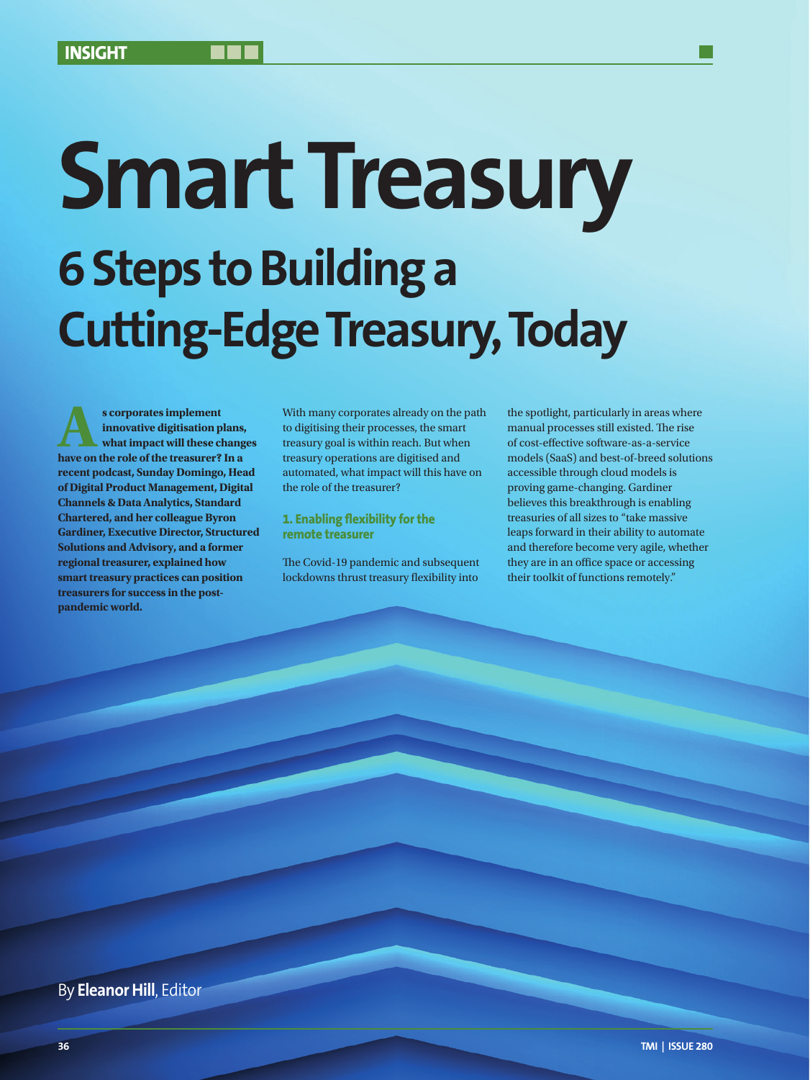# **Smart Treasury 6 Steps to Building a Cutting-Edge Treasury, Today**

**As corporates implement innovative digitisation plans, what impact will these change have on the role of the treasurer? In a innovative digitisation plans, what impact will these changes recent podcast, Sunday Domingo, Head of Digital Product Management, Digital Channels & Data Analytics, Standard Chartered, and her colleague Byron Gardiner, Executive Director, Structured Solutions and Advisory, and a former regional treasurer, explained how smart treasury practices can position treasurers for success in the postpandemic world.**

With many corporates already on the path to digitising their processes, the smart treasury goal is within reach. But when treasury operations are digitised and automated, what impact will this have on the role of the treasurer?

### **1. Enabling flexibility for the remote treasurer**

The Covid-19 pandemic and subsequent lockdowns thrust treasury flexibility into the spotlight, particularly in areas where manual processes still existed. The rise of cost-effective software-as-a-service models (SaaS) and best-of-breed solutions accessible through cloud models is proving game-changing. Gardiner believes this breakthrough is enabling treasuries of all sizes to "take massive leaps forward in their ability to automate and therefore become very agile, whether they are in an office space or accessing their toolkit of functions remotely."

### By **Eleanor Hill**, Editor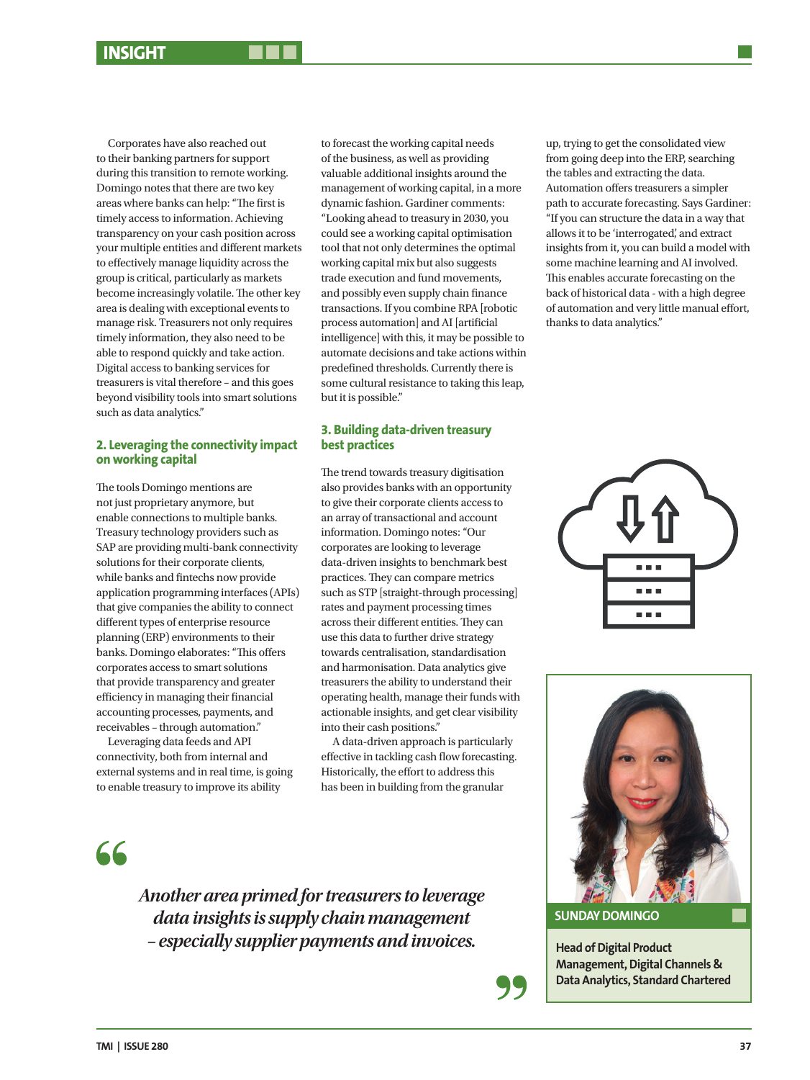Corporates have also reached out to their banking partners for support during this transition to remote working. Domingo notes that there are two key areas where banks can help: "The first is timely access to information. Achieving transparency on your cash position across your multiple entities and different markets to effectively manage liquidity across the group is critical, particularly as markets become increasingly volatile. The other key area is dealing with exceptional events to manage risk. Treasurers not only requires timely information, they also need to be able to respond quickly and take action. Digital access to banking services for treasurers is vital therefore – and this goes beyond visibility tools into smart solutions such as data analytics."

### **2. Leveraging the connectivity impact on working capital**

The tools Domingo mentions are not just proprietary anymore, but enable connections to multiple banks. Treasury technology providers such as SAP are providing multi-bank connectivity solutions for their corporate clients, while banks and fintechs now provide application programming interfaces (APIs) that give companies the ability to connect different types of enterprise resource planning (ERP) environments to their banks. Domingo elaborates: "This offers corporates access to smart solutions that provide transparency and greater efficiency in managing their financial accounting processes, payments, and receivables – through automation."

Leveraging data feeds and API connectivity, both from internal and external systems and in real time, is going to enable treasury to improve its ability

to forecast the working capital needs of the business, as well as providing valuable additional insights around the management of working capital, in a more dynamic fashion. Gardiner comments: "Looking ahead to treasury in 2030, you could see a working capital optimisation tool that not only determines the optimal working capital mix but also suggests trade execution and fund movements, and possibly even supply chain finance transactions. If you combine RPA [robotic process automation] and AI [artificial intelligence] with this, it may be possible to automate decisions and take actions within predefined thresholds. Currently there is some cultural resistance to taking this leap, but it is possible."

### **3. Building data-driven treasury best practices**

The trend towards treasury digitisation also provides banks with an opportunity to give their corporate clients access to an array of transactional and account information. Domingo notes: "Our corporates are looking to leverage data-driven insights to benchmark best practices. They can compare metrics such as STP [straight-through processing] rates and payment processing times across their different entities. They can use this data to further drive strategy towards centralisation, standardisation and harmonisation. Data analytics give treasurers the ability to understand their operating health, manage their funds with actionable insights, and get clear visibility into their cash positions."

A data-driven approach is particularly effective in tackling cash flow forecasting. Historically, the effort to address this has been in building from the granular

66

*Another area primed for treasurers to leverage data insights is supply chain management – especially supplier payments and invoices.*

up, trying to get the consolidated view from going deep into the ERP, searching the tables and extracting the data. Automation offers treasurers a simpler path to accurate forecasting. Says Gardiner: "If you can structure the data in a way that allows it to be 'interrogated', and extract insights from it, you can build a model with some machine learning and AI involved. This enables accurate forecasting on the back of historical data - with a high degree of automation and very little manual effort, thanks to data analytics."





**SUNDAY DOMINGO**

**Head of Digital Product Management, Digital Channels & Data Analytics, Standard Chartered**